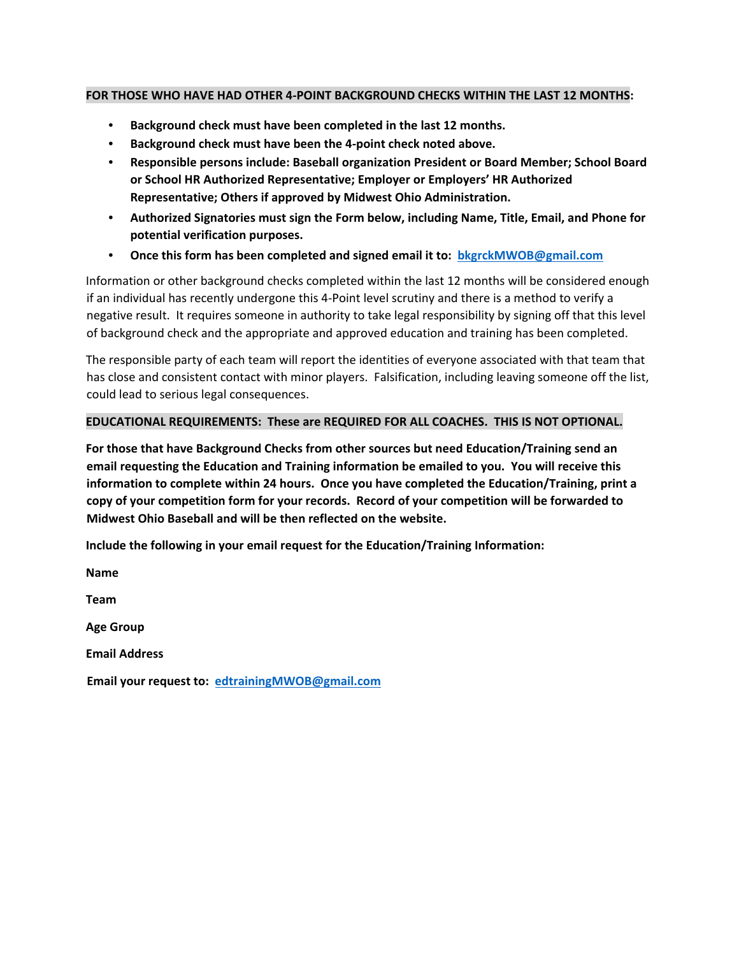## **FOR THOSE WHO HAVE HAD OTHER 4-POINT BACKGROUND CHECKS WITHIN THE LAST 12 MONTHS:**

- **Background check must have been completed in the last 12 months.**
- **Background check must have been the 4-point check noted above.**
- **Responsible persons include: Baseball organization President or Board Member; School Board or School HR Authorized Representative; Employer or Employers' HR Authorized Representative; Others if approved by Midwest Ohio Administration.**
- **Authorized Signatories must sign the Form below, including Name, Title, Email, and Phone for potential verification purposes.**
- **Once this form has been completed and signed email it to: bkgrckMWOB@gmail.com**

Information or other background checks completed within the last 12 months will be considered enough if an individual has recently undergone this 4-Point level scrutiny and there is a method to verify a negative result. It requires someone in authority to take legal responsibility by signing off that this level of background check and the appropriate and approved education and training has been completed.

The responsible party of each team will report the identities of everyone associated with that team that has close and consistent contact with minor players. Falsification, including leaving someone off the list, could lead to serious legal consequences.

## **EDUCATIONAL REQUIREMENTS: These are REQUIRED FOR ALL COACHES. THIS IS NOT OPTIONAL.**

**For those that have Background Checks from other sources but need Education/Training send an email requesting the Education and Training information be emailed to you. You will receive this information to complete within 24 hours. Once you have completed the Education/Training, print a copy of your competition form for your records. Record of your competition will be forwarded to Midwest Ohio Baseball and will be then reflected on the website.** 

**Include the following in your email request for the Education/Training Information:** 

**Name Team Age Group Email Address Email your request to: edtrainingMWOB@gmail.com**